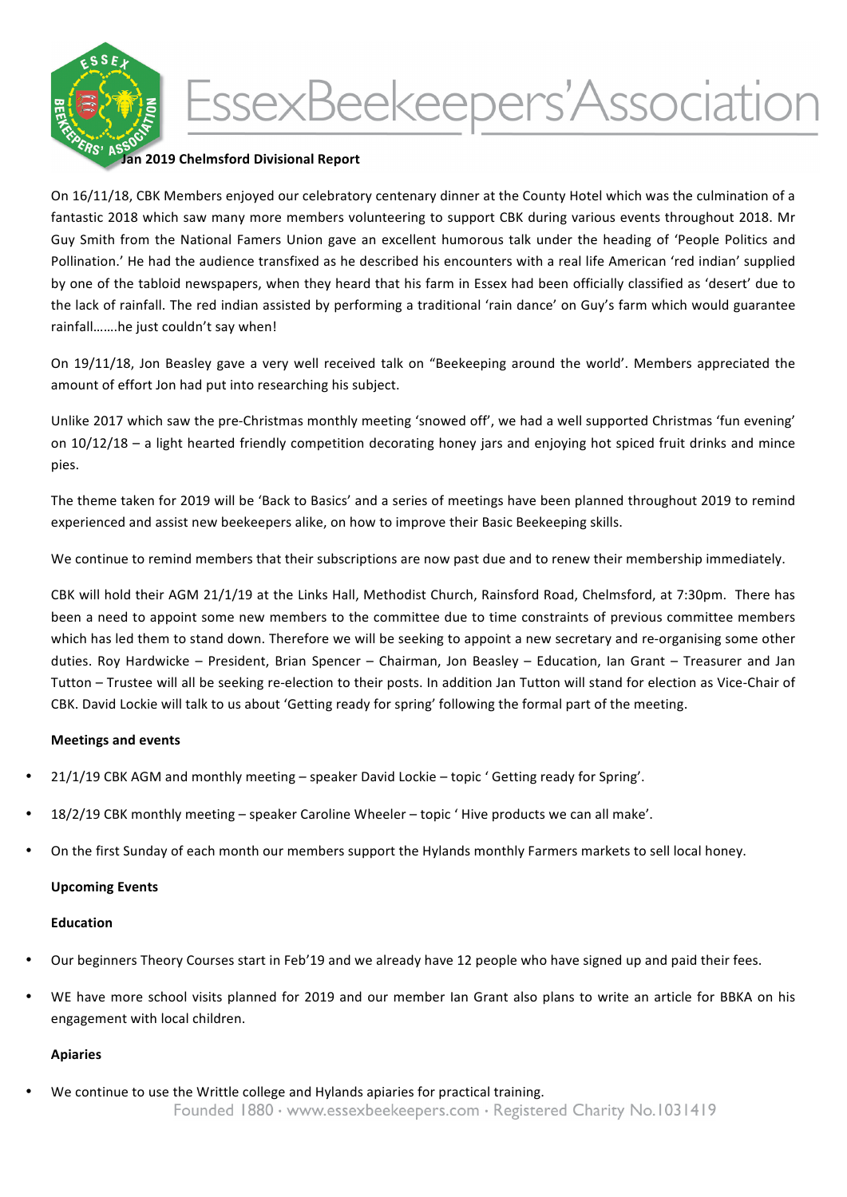

# EssexBeekeepers'Association

## **Jan 2019 Chelmsford Divisional Report**

On 16/11/18, CBK Members enjoyed our celebratory centenary dinner at the County Hotel which was the culmination of a fantastic 2018 which saw many more members volunteering to support CBK during various events throughout 2018. Mr Guy Smith from the National Famers Union gave an excellent humorous talk under the heading of 'People Politics and Pollination.' He had the audience transfixed as he described his encounters with a real life American 'red indian' supplied by one of the tabloid newspapers, when they heard that his farm in Essex had been officially classified as 'desert' due to the lack of rainfall. The red indian assisted by performing a traditional 'rain dance' on Guy's farm which would guarantee rainfall.......he just couldn't say when!

On 19/11/18, Jon Beasley gave a very well received talk on "Beekeeping around the world'. Members appreciated the amount of effort Jon had put into researching his subject.

Unlike 2017 which saw the pre-Christmas monthly meeting 'snowed off', we had a well supported Christmas 'fun evening' on 10/12/18 – a light hearted friendly competition decorating honey jars and enjoying hot spiced fruit drinks and mince pies.

The theme taken for 2019 will be 'Back to Basics' and a series of meetings have been planned throughout 2019 to remind experienced and assist new beekeepers alike, on how to improve their Basic Beekeeping skills.

We continue to remind members that their subscriptions are now past due and to renew their membership immediately.

CBK will hold their AGM 21/1/19 at the Links Hall, Methodist Church, Rainsford Road, Chelmsford, at 7:30pm. There has been a need to appoint some new members to the committee due to time constraints of previous committee members which has led them to stand down. Therefore we will be seeking to appoint a new secretary and re-organising some other duties. Roy Hardwicke - President, Brian Spencer - Chairman, Jon Beasley - Education, Ian Grant - Treasurer and Jan Tutton – Trustee will all be seeking re-election to their posts. In addition Jan Tutton will stand for election as Vice-Chair of CBK. David Lockie will talk to us about 'Getting ready for spring' following the formal part of the meeting.

### **Meetings and events**

- 21/1/19 CBK AGM and monthly meeting speaker David Lockie topic ' Getting ready for Spring'.
- 18/2/19 CBK monthly meeting speaker Caroline Wheeler topic ' Hive products we can all make'.
- On the first Sunday of each month our members support the Hylands monthly Farmers markets to sell local honey.

### **Upcoming Events**

### **Education**

- Our beginners Theory Courses start in Feb'19 and we already have 12 people who have signed up and paid their fees.
- WE have more school visits planned for 2019 and our member Ian Grant also plans to write an article for BBKA on his engagement with local children.

### **Apiaries**

We continue to use the Writtle college and Hylands apiaries for practical training.